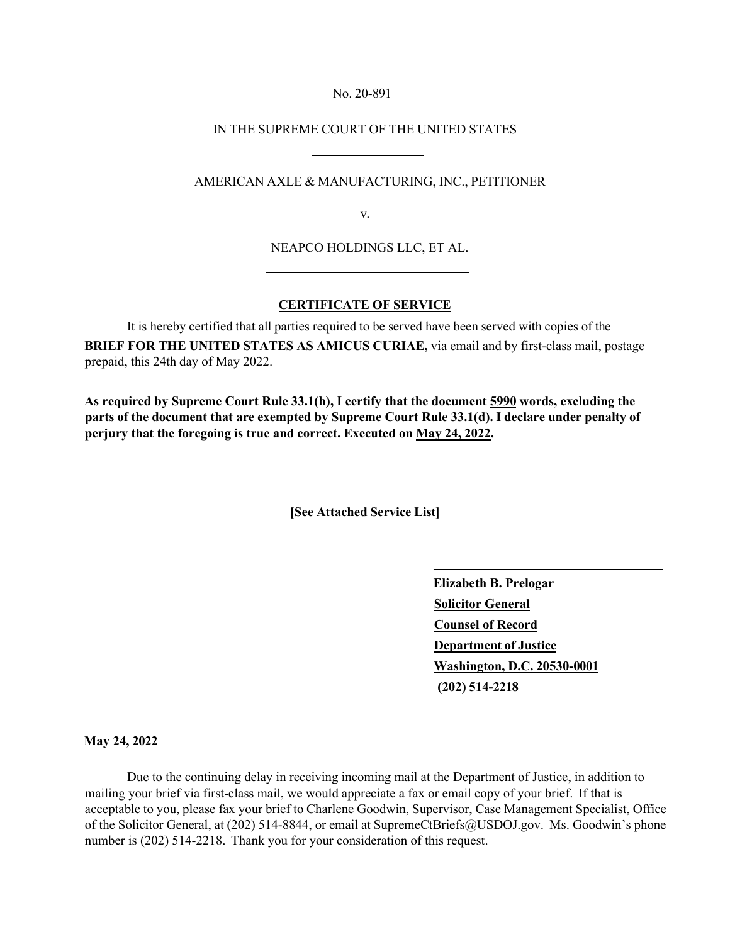## No. 20-891

## IN THE SUPREME COURT OF THE UNITED STATES

## AMERICAN AXLE & MANUFACTURING, INC., PETITIONER

v.

NEAPCO HOLDINGS LLC, ET AL.

## **CERTIFICATE OF SERVICE**

It is hereby certified that all parties required to be served have been served with copies of the **BRIEF FOR THE UNITED STATES AS AMICUS CURIAE,** via email and by first-class mail, postage prepaid, this 24th day of May 2022.

**As required by Supreme Court Rule 33.1(h), I certify that the document 5990 words, excluding the parts of the document that are exempted by Supreme Court Rule 33.1(d). I declare under penalty of perjury that the foregoing is true and correct. Executed on May 24, 2022.** 

**[See Attached Service List]**

**Elizabeth B. Prelogar Solicitor General Counsel of Record Department of Justice Washington, D.C. 20530-0001 (202) 514-2218**

**May 24, 2022**

Due to the continuing delay in receiving incoming mail at the Department of Justice, in addition to mailing your brief via first-class mail, we would appreciate a fax or email copy of your brief. If that is acceptable to you, please fax your brief to Charlene Goodwin, Supervisor, Case Management Specialist, Office of the Solicitor General, at (202) 514-8844, or email at [SupremeCtBriefs@USDOJ.gov.](mailto:SupremeCtBriefs@USDOJ.gov) Ms. Goodwin's phone number is (202) 514-2218. Thank you for your consideration of this request.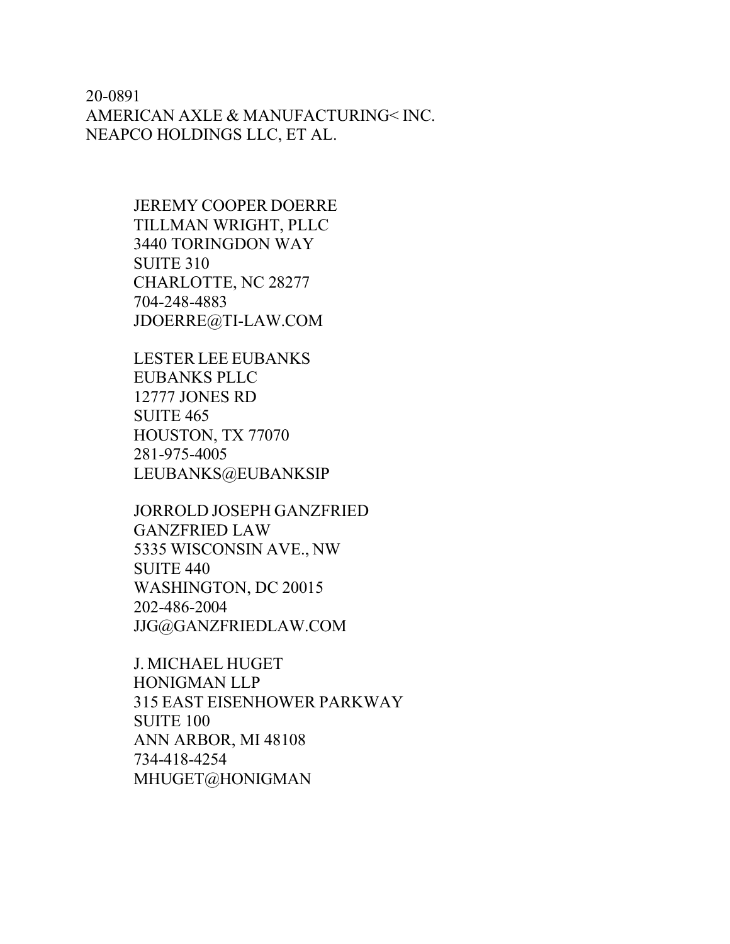20-0891 AMERICAN AXLE & MANUFACTURING< INC. NEAPCO HOLDINGS LLC, ET AL.

> JEREMY COOPER DOERRE TILLMAN WRIGHT, PLLC 3440 TORINGDON WAY SUITE 310 CHARLOTTE, NC 28277 704-248-4883 [JDOERRE@TI-LAW.COM](mailto:JDOERRE@TI-LAW.COM)

LESTER LEE EUBANKS EUBANKS PLLC 12777 JONES RD SUITE 465 HOUSTON, TX 77070 281-975-4005 LEUBANKS@EUBANKSIP

JORROLD JOSEPH GANZFRIED GANZFRIED LAW 5335 WISCONSIN AVE., NW SUITE 440 WASHINGTON, DC 20015 202-486-2004 [JJG@GANZFRIEDLAW.COM](mailto:JJG@GANZFRIEDLAW.COM)

J. MICHAEL HUGET HONIGMAN LLP 315 EAST EISENHOWER PARKWAY SUITE 100 ANN ARBOR, MI 48108 734-418-4254 MHUGET@HONIGMAN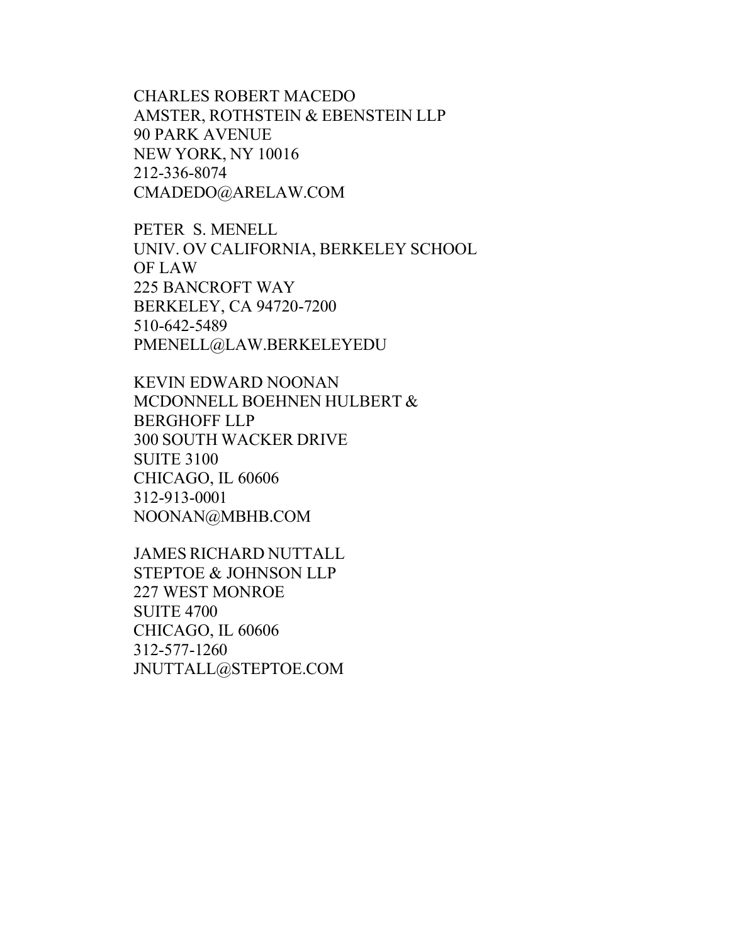CHARLES ROBERT MACEDO AMSTER, ROTHSTEIN & EBENSTEIN LLP 90 PARK AVENUE NEW YORK, NY 10016 212-336-8074 [CMADEDO@ARELAW.COM](mailto:CMADEDO@ARELAW.COM)

PETER S. MENELL UNIV. OV CALIFORNIA, BERKELEY SCHOOL OF LAW 225 BANCROFT WAY BERKELEY, CA 94720-7200 510-642-5489 [PMENELL@LAW.BERKELEYEDU](mailto:PMENELL@LAW.BERKELEYEDU)

KEVIN EDWARD NOONAN MCDONNELL BOEHNEN HULBERT & BERGHOFF LLP 300 SOUTH WACKER DRIVE SUITE 3100 CHICAGO, IL 60606 312-913-0001 [NOONAN@MBHB.COM](mailto:NOONAN@MBHB.COM)

JAMES RICHARD NUTTALL STEPTOE & JOHNSON LLP 227 WEST MONROE SUITE 4700 CHICAGO, IL 60606 312-577-1260 [JNUTTALL@STEPTOE.COM](mailto:JNUTTALL@STEPTOE.COM)